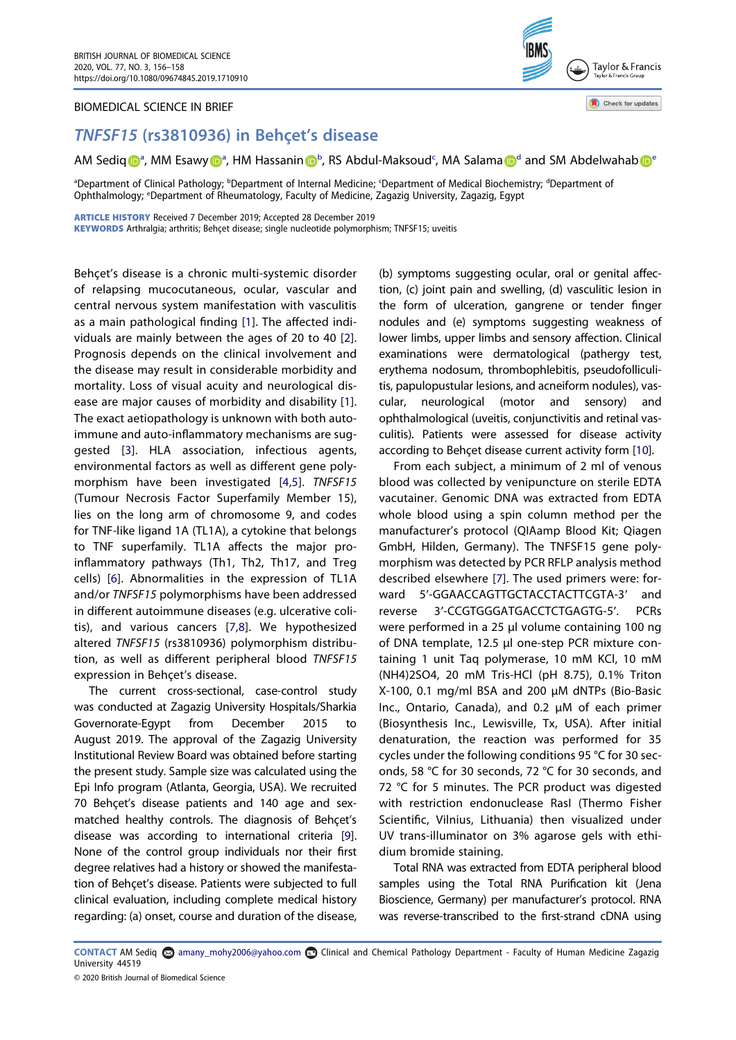### BIOMEDICAL SCIENCE IN BRIEF



Check for updates

# TNFSF15 (rs3810936) in Behçet's disease

AM Sediq D<sup>[a](http://orcid.org/0000-0003-2211-3383)</sup>, MM Esawy D<sup>a</sup>, HM Hassanin D<sup>[b](#page-0-0)</sup>, RS Ab[d](#page-0-0)ul-Maksoud<sup>c</sup>, MA Salama D<sup>d</sup> and SM Abd[e](#page-0-1)lwahab D<sup>e</sup>

<span id="page-0-1"></span><span id="page-0-0"></span><sup>a</sup>Department of Clinical Pathology; <sup>b</sup>Department of Internal Medicine; 'Department of Medical Biochemistry; <sup>a</sup>Department of Ophthalmology; <sup>e</sup>Department of Rheumatology, Faculty of Medicine, Zagazig University, Zagazig, Egypt

ARTICLE HISTORY Received 7 December 2019; Accepted 28 December 2019

KEYWORDS Arthralgia; arthritis; Behçet disease; single nucleotide polymorphism; TNFSF15; uveitis

<span id="page-0-5"></span><span id="page-0-4"></span><span id="page-0-3"></span><span id="page-0-2"></span>Behçet's disease is a chronic multi-systemic disorder of relapsing mucocutaneous, ocular, vascular and central nervous system manifestation with vasculitis as a main pathological finding [[1\]](#page-2-0). The affected individuals are mainly between the ages of 20 to 40 [\[2\]](#page-2-1). Prognosis depends on the clinical involvement and the disease may result in considerable morbidity and mortality. Loss of visual acuity and neurological disease are major causes of morbidity and disability [\[1\]](#page-2-0). The exact aetiopathology is unknown with both autoimmune and auto-inflammatory mechanisms are suggested [\[3](#page-2-2)]. HLA association, infectious agents, environmental factors as well as different gene polymorphism have been investigated [[4](#page-2-3)[,5](#page-2-4)]. TNFSF15 (Tumour Necrosis Factor Superfamily Member 15), lies on the long arm of chromosome 9, and codes for TNF-like ligand 1A (TL1A), a cytokine that belongs to TNF superfamily. TL1A affects the major proinflammatory pathways (Th1, Th2, Th17, and Treg cells) [[6\]](#page-2-5). Abnormalities in the expression of TL1A and/or TNFSF15 polymorphisms have been addressed in different autoimmune diseases (e.g. ulcerative colitis), and various cancers [[7,](#page-2-6)[8](#page-2-7)]. We hypothesized altered TNFSF15 (rs3810936) polymorphism distribution, as well as different peripheral blood TNFSF15 expression in Behçet's disease.

<span id="page-0-8"></span><span id="page-0-6"></span>The current cross-sectional, case-control study was conducted at Zagazig University Hospitals/Sharkia Governorate-Egypt from December 2015 to August 2019. The approval of the Zagazig University Institutional Review Board was obtained before starting the present study. Sample size was calculated using the Epi Info program (Atlanta, Georgia, USA). We recruited 70 Behçet's disease patients and 140 age and sexmatched healthy controls. The diagnosis of Behçet's disease was according to international criteria [[9\]](#page-2-8). None of the control group individuals nor their first degree relatives had a history or showed the manifestation of Behçet's disease. Patients were subjected to full clinical evaluation, including complete medical history regarding: (a) onset, course and duration of the disease,

(b) symptoms suggesting ocular, oral or genital affection, (c) joint pain and swelling, (d) vasculitic lesion in the form of ulceration, gangrene or tender finger nodules and (e) symptoms suggesting weakness of lower limbs, upper limbs and sensory affection. Clinical examinations were dermatological (pathergy test, erythema nodosum, thrombophlebitis, pseudofolliculitis, papulopustular lesions, and acneiform nodules), vascular, neurological (motor and sensory) and ophthalmological (uveitis, conjunctivitis and retinal vasculitis). Patients were assessed for disease activity according to Behçet disease current activity form [\[10\]](#page-2-9).

<span id="page-0-10"></span><span id="page-0-7"></span>From each subject, a minimum of 2 ml of venous blood was collected by venipuncture on sterile EDTA vacutainer. Genomic DNA was extracted from EDTA whole blood using a spin column method per the manufacturer's protocol (QIAamp Blood Kit; Qiagen GmbH, Hilden, Germany). The TNFSF15 gene polymorphism was detected by PCR RFLP analysis method described elsewhere [\[7\]](#page-2-6). The used primers were: forward 5'-GGAACCAGTTGCTACCTACTTCGTA-3' and reverse 3′-CCGTGGGATGACCTCTGAGTG-5′. PCRs were performed in a 25 µl volume containing 100 ng of DNA template, 12.5 µl one-step PCR mixture containing 1 unit Taq polymerase, 10 mM KCl, 10 mM (NH4)2SO4, 20 mM Tris-HCl (pH 8.75), 0.1% Triton X-100, 0.1 mg/ml BSA and 200 µM dNTPs (Bio-Basic Inc., Ontario, Canada), and 0.2 µM of each primer (Biosynthesis Inc., Lewisville, Tx, USA). After initial denaturation, the reaction was performed for 35 cycles under the following conditions 95 °C for 30 seconds, 58 °C for 30 seconds, 72 °C for 30 seconds, and 72 °C for 5 minutes. The PCR product was digested with restriction endonuclease RasI (Thermo Fisher Scientific, Vilnius, Lithuania) then visualized under UV trans-illuminator on 3% agarose gels with ethidium bromide staining.

Total RNA was extracted from EDTA peripheral blood samples using the Total RNA Purification kit (Jena Bioscience, Germany) per manufacturer's protocol. RNA was reverse-transcribed to the first-strand cDNA using

<span id="page-0-9"></span>CONTACT AM Sediq @ amany\_mohy2006@yahoo.com @ Clinical and Chemical Pathology Department - Faculty of Human Medicine Zagazig University 44519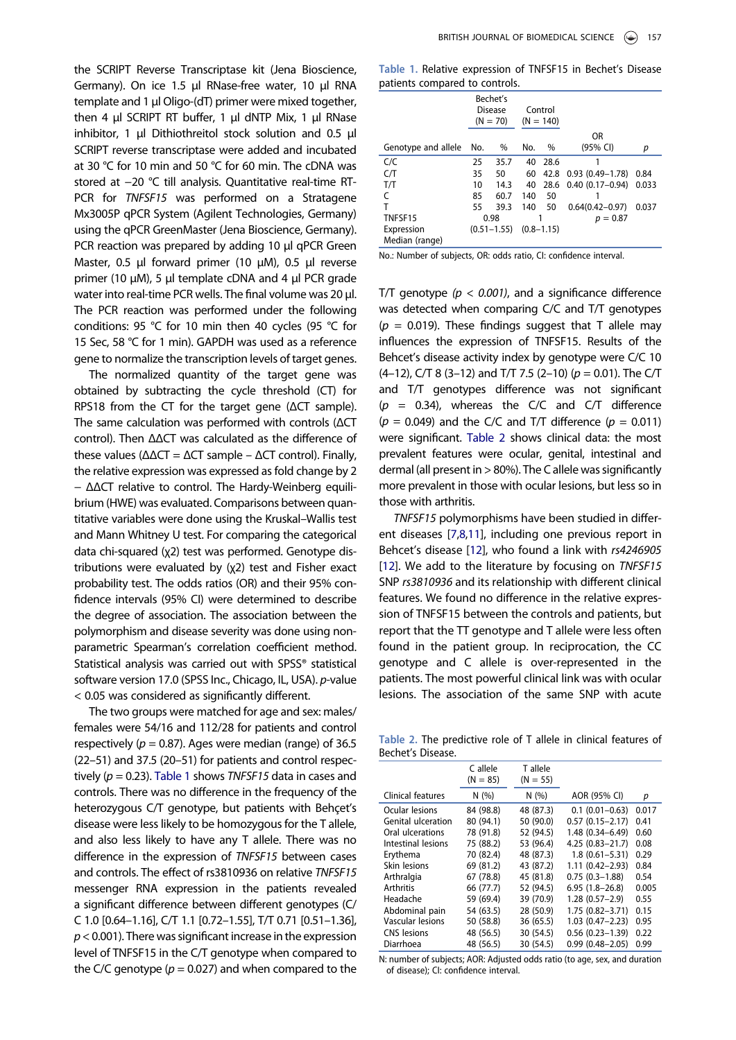the SCRIPT Reverse Transcriptase kit (Jena Bioscience, Germany). On ice 1.5 μl RNase-free water, 10 μl RNA template and 1 μl Oligo-(dT) primer were mixed together, then 4 μl SCRIPT RT buffer, 1 μl dNTP Mix, 1 μl RNase inhibitor, 1 μl Dithiothreitol stock solution and 0.5 μl SCRIPT reverse transcriptase were added and incubated at 30 °C for 10 min and 50 °C for 60 min. The cDNA was stored at −20 °C till analysis. Quantitative real-time RT-PCR for TNFSF15 was performed on a Stratagene Mx3005P qPCR System (Agilent Technologies, Germany) using the qPCR GreenMaster (Jena Bioscience, Germany). PCR reaction was prepared by adding 10 μl qPCR Green Master, 0.5 μl forward primer (10 μM), 0.5 μl reverse primer (10 μM), 5 μl template cDNA and 4 μl PCR grade water into real-time PCR wells. The final volume was 20 μl. The PCR reaction was performed under the following conditions: 95 °C for 10 min then 40 cycles (95 °C for 15 Sec, 58 °C for 1 min). GAPDH was used as a reference gene to normalize the transcription levels of target genes.

The normalized quantity of the target gene was obtained by subtracting the cycle threshold (CT) for RPS18 from the CT for the target gene (ΔCT sample). The same calculation was performed with controls (ΔCT control). Then ΔΔCT was calculated as the difference of these values ( $ΔΔCT = ΔCT$  sample –  $ΔCT$  control). Finally, the relative expression was expressed as fold change by 2 − ΔΔCT relative to control. The Hardy-Weinberg equilibrium (HWE) was evaluated. Comparisons between quantitative variables were done using the Kruskal–Wallis test and Mann Whitney U test. For comparing the categorical data chi-squared (χ2) test was performed. Genotype distributions were evaluated by (χ2) test and Fisher exact probability test. The odds ratios (OR) and their 95% confidence intervals (95% CI) were determined to describe the degree of association. The association between the polymorphism and disease severity was done using nonparametric Spearman's correlation coefficient method. Statistical analysis was carried out with SPSS® statistical software version 17.0 (SPSS Inc., Chicago, IL, USA). p-value < 0.05 was considered as significantly different.

The two groups were matched for age and sex: males/ females were 54/16 and 112/28 for patients and control respectively ( $p = 0.87$ ). Ages were median (range) of 36.5 (22–51) and 37.5 (20–51) for patients and control respectively ( $p = 0.23$ ). [Table 1](#page-1-0) shows TNFSF15 data in cases and controls. There was no difference in the frequency of the heterozygous C/T genotype, but patients with Behçet's disease were less likely to be homozygous for the T allele, and also less likely to have any T allele. There was no difference in the expression of TNFSF15 between cases and controls. The effect of rs3810936 on relative TNFSF15 messenger RNA expression in the patients revealed a significant difference between different genotypes (C/ C 1.0 [0.64–1.16], C/T 1.1 [0.72–1.55], T/T 0.71 [0.51–1.36],  $p$  < 0.001). There was significant increase in the expression level of TNFSF15 in the C/T genotype when compared to the C/C genotype ( $p = 0.027$ ) and when compared to the

<span id="page-1-0"></span>

|  |                                |  | Table 1. Relative expression of TNFSF15 in Bechet's Disease |  |  |
|--|--------------------------------|--|-------------------------------------------------------------|--|--|
|  | patients compared to controls. |  |                                                             |  |  |

|                     | Bechet's<br><b>Disease</b><br>$(N = 70)$ |      | Control<br>$(N = 140)$ |       |                     |       |
|---------------------|------------------------------------------|------|------------------------|-------|---------------------|-------|
|                     |                                          |      |                        |       | OR                  |       |
| Genotype and allele | No.                                      | %    | No.                    | $\%$  | $(95%$ CI)          | р     |
| C/C                 | 25                                       | 35.7 | 40                     | -28.6 |                     |       |
| C/T                 | 35                                       | 50   | 60                     | 42.8  | $0.93(0.49 - 1.78)$ | 0.84  |
| T/T                 | 10                                       | 14.3 | 40                     | 28.6  | $0.40(0.17-0.94)$   | 0.033 |
| C                   | 85                                       | 60.7 | 140                    | 50    |                     |       |
| т                   | 55                                       | 39.3 | 140                    | 50    | $0.64(0.42 - 0.97)$ | 0.037 |
| TNFSF15             | 0.98                                     |      |                        |       | $p = 0.87$          |       |
| Expression          | $(0.51 - 1.55)$                          |      | $(0.8 - 1.15)$         |       |                     |       |
| Median (range)      |                                          |      |                        |       |                     |       |

No.: Number of subjects, OR: odds ratio, CI: confidence interval.

T/T genotype ( $p < 0.001$ ), and a significance difference was detected when comparing C/C and T/T genotypes ( $p = 0.019$ ). These findings suggest that T allele may influences the expression of TNFSF15. Results of the Behcet's disease activity index by genotype were C/C 10  $(4-12)$ , C/T 8 (3-12) and T/T 7.5 (2-10) ( $p = 0.01$ ). The C/T and T/T genotypes difference was not significant  $(p = 0.34)$ , whereas the C/C and C/T difference  $(p = 0.049)$  and the C/C and T/T difference  $(p = 0.011)$ were significant. [Table 2](#page-1-1) shows clinical data: the most prevalent features were ocular, genital, intestinal and dermal (all present in > 80%). The C allele was significantly more prevalent in those with ocular lesions, but less so in those with arthritis.

<span id="page-1-3"></span><span id="page-1-2"></span>TNFSF15 polymorphisms have been studied in different diseases [[7,](#page-2-6)[8,](#page-2-7)[11\]](#page-2-10), including one previous report in Behcet's disease [\[12](#page-2-11)], who found a link with rs4246905 [\[12](#page-2-11)]. We add to the literature by focusing on TNFSF15 SNP rs3810936 and its relationship with different clinical features. We found no difference in the relative expression of TNFSF15 between the controls and patients, but report that the TT genotype and T allele were less often found in the patient group. In reciprocation, the CC genotype and C allele is over-represented in the patients. The most powerful clinical link was with ocular lesions. The association of the same SNP with acute

<span id="page-1-1"></span>Table 2. The predictive role of T allele in clinical features of Bechet's Disease.

|                    | C allele<br>$(N = 85)$ | T allele<br>$(N = 55)$ |                     |       |
|--------------------|------------------------|------------------------|---------------------|-------|
| Clinical features  | N(%)                   | N(%)                   | AOR (95% CI)        | р     |
| Ocular lesions     | 84 (98.8)              | 48 (87.3)              | $0.1(0.01 - 0.63)$  | 0.017 |
| Genital ulceration | 80 (94.1)              | 50 (90.0)              | $0.57(0.15 - 2.17)$ | 0.41  |
| Oral ulcerations   | 78 (91.8)              | 52 (94.5)              | 1.48 (0.34-6.49)    | 0.60  |
| Intestinal lesions | 75 (88.2)              | 53 (96.4)              | $4.25(0.83 - 21.7)$ | 0.08  |
| Erythema           | 70 (82.4)              | 48 (87.3)              | $1.8(0.61 - 5.31)$  | 0.29  |
| Skin lesions       | 69 (81.2)              | 43 (87.2)              | $1.11(0.42 - 2.93)$ | 0.84  |
| Arthralgia         | 67 (78.8)              | 45 (81.8)              | $0.75(0.3-1.88)$    | 0.54  |
| <b>Arthritis</b>   | 66 (77.7)              | 52 (94.5)              | $6.95(1.8-26.8)$    | 0.005 |
| Headache           | 59 (69.4)              | 39 (70.9)              | $1.28(0.57-2.9)$    | 0.55  |
| Abdominal pain     | 54 (63.5)              | 28 (50.9)              | $1.75(0.82 - 3.71)$ | 0.15  |
| Vascular lesions   | 50 (58.8)              | 36 (65.5)              | $1.03(0.47 - 2.23)$ | 0.95  |
| <b>CNS</b> lesions | 48 (56.5)              | 30 (54.5)              | $0.56(0.23 - 1.39)$ | 0.22  |
| Diarrhoea          | 48 (56.5)              | 30 (54.5)              | $0.99(0.48 - 2.05)$ | 0.99  |

N: number of subjects; AOR: Adjusted odds ratio (to age, sex, and duration of disease); CI: confidence interval.